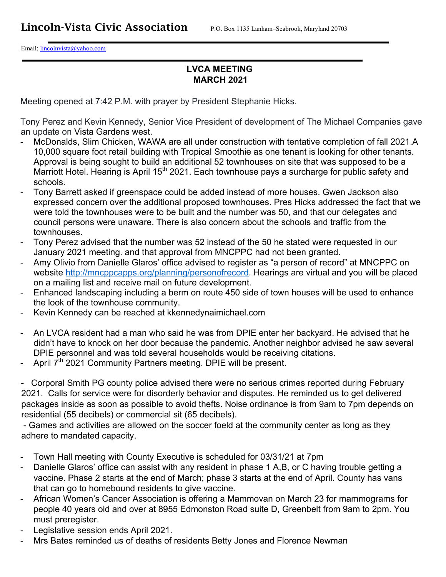Email: lincolnvista@yahoo.com

## **LVCA MEETING MARCH 2021**

Meeting opened at 7:42 P.M. with prayer by President Stephanie Hicks.

Tony Perez and Kevin Kennedy, Senior Vice President of development of The Michael Companies gave an update on Vista Gardens west.

- McDonalds, Slim Chicken, WAWA are all under construction with tentative completion of fall 2021.A 10,000 square foot retail building with Tropical Smoothie as one tenant is looking for other tenants. Approval is being sought to build an additional 52 townhouses on site that was supposed to be a Marriott Hotel. Hearing is April 15<sup>th</sup> 2021. Each townhouse pays a surcharge for public safety and schools.
- Tony Barrett asked if greenspace could be added instead of more houses. Gwen Jackson also expressed concern over the additional proposed townhouses. Pres Hicks addressed the fact that we were told the townhouses were to be built and the number was 50, and that our delegates and council persons were unaware. There is also concern about the schools and traffic from the townhouses.
- Tony Perez advised that the number was 52 instead of the 50 he stated were requested in our January 2021 meeting. and that approval from MNCPPC had not been granted.
- Amy Olivio from Danielle Glaros' office advised to register as "a person of record" at MNCPPC on website http://mncppcapps.org/planning/personofrecord. Hearings are virtual and you will be placed on a mailing list and receive mail on future development.
- Enhanced landscaping including a berm on route 450 side of town houses will be used to enhance the look of the townhouse community.
- Kevin Kennedy can be reached at kkennedynaimichael.com
- An LVCA resident had a man who said he was from DPIE enter her backyard. He advised that he didn't have to knock on her door because the pandemic. Another neighbor advised he saw several DPIE personnel and was told several households would be receiving citations.
- April 7<sup>th</sup> 2021 Community Partners meeting. DPIE will be present.

- Corporal Smith PG county police advised there were no serious crimes reported during February 2021. Calls for service were for disorderly behavior and disputes. He reminded us to get delivered packages inside as soon as possible to avoid thefts. Noise ordinance is from 9am to 7pm depends on residential (55 decibels) or commercial sit (65 decibels).

 - Games and activities are allowed on the soccer foeld at the community center as long as they adhere to mandated capacity.

- Town Hall meeting with County Executive is scheduled for 03/31/21 at 7pm
- Danielle Glaros' office can assist with any resident in phase 1 A,B, or C having trouble getting a vaccine. Phase 2 starts at the end of March; phase 3 starts at the end of April. County has vans that can go to homebound residents to give vaccine.
- African Women's Cancer Association is offering a Mammovan on March 23 for mammograms for people 40 years old and over at 8955 Edmonston Road suite D, Greenbelt from 9am to 2pm. You must preregister.
- Legislative session ends April 2021.
- Mrs Bates reminded us of deaths of residents Betty Jones and Florence Newman